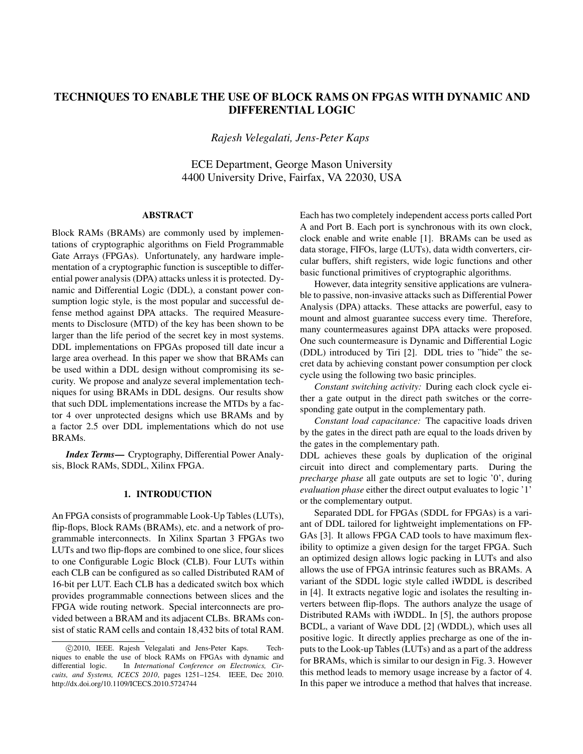# TECHNIQUES TO ENABLE THE USE OF BLOCK RAMS ON FPGAS WITH DYNAMIC AND DIFFERENTIAL LOGIC

*Rajesh Velegalati, Jens-Peter Kaps*

ECE Department, George Mason University 4400 University Drive, Fairfax, VA 22030, USA

# ABSTRACT

Block RAMs (BRAMs) are commonly used by implementations of cryptographic algorithms on Field Programmable Gate Arrays (FPGAs). Unfortunately, any hardware implementation of a cryptographic function is susceptible to differential power analysis (DPA) attacks unless it is protected. Dynamic and Differential Logic (DDL), a constant power consumption logic style, is the most popular and successful defense method against DPA attacks. The required Measurements to Disclosure (MTD) of the key has been shown to be larger than the life period of the secret key in most systems. DDL implementations on FPGAs proposed till date incur a large area overhead. In this paper we show that BRAMs can be used within a DDL design without compromising its security. We propose and analyze several implementation techniques for using BRAMs in DDL designs. Our results show that such DDL implementations increase the MTDs by a factor 4 over unprotected designs which use BRAMs and by a factor 2.5 over DDL implementations which do not use BRAMs.

*Index Terms*— Cryptography, Differential Power Analysis, Block RAMs, SDDL, Xilinx FPGA.

# 1. INTRODUCTION

An FPGA consists of programmable Look-Up Tables (LUTs), flip-flops, Block RAMs (BRAMs), etc. and a network of programmable interconnects. In Xilinx Spartan 3 FPGAs two LUTs and two flip-flops are combined to one slice, four slices to one Configurable Logic Block (CLB). Four LUTs within each CLB can be configured as so called Distributed RAM of 16-bit per LUT. Each CLB has a dedicated switch box which provides programmable connections between slices and the FPGA wide routing network. Special interconnects are provided between a BRAM and its adjacent CLBs. BRAMs consist of static RAM cells and contain 18,432 bits of total RAM.

Each has two completely independent access ports called Port A and Port B. Each port is synchronous with its own clock, clock enable and write enable [1]. BRAMs can be used as data storage, FIFOs, large (LUTs), data width converters, circular buffers, shift registers, wide logic functions and other basic functional primitives of cryptographic algorithms.

However, data integrity sensitive applications are vulnerable to passive, non-invasive attacks such as Differential Power Analysis (DPA) attacks. These attacks are powerful, easy to mount and almost guarantee success every time. Therefore, many countermeasures against DPA attacks were proposed. One such countermeasure is Dynamic and Differential Logic (DDL) introduced by Tiri [2]. DDL tries to "hide" the secret data by achieving constant power consumption per clock cycle using the following two basic principles.

*Constant switching activity:* During each clock cycle either a gate output in the direct path switches or the corresponding gate output in the complementary path.

*Constant load capacitance:* The capacitive loads driven by the gates in the direct path are equal to the loads driven by the gates in the complementary path.

DDL achieves these goals by duplication of the original circuit into direct and complementary parts. During the *precharge phase* all gate outputs are set to logic '0', during *evaluation phase* either the direct output evaluates to logic '1' or the complementary output.

Separated DDL for FPGAs (SDDL for FPGAs) is a variant of DDL tailored for lightweight implementations on FP-GAs [3]. It allows FPGA CAD tools to have maximum flexibility to optimize a given design for the target FPGA. Such an optimized design allows logic packing in LUTs and also allows the use of FPGA intrinsic features such as BRAMs. A variant of the SDDL logic style called iWDDL is described in [4]. It extracts negative logic and isolates the resulting inverters between flip-flops. The authors analyze the usage of Distributed RAMs with iWDDL. In [5], the authors propose BCDL, a variant of Wave DDL [2] (WDDL), which uses all positive logic. It directly applies precharge as one of the inputs to the Look-up Tables (LUTs) and as a part of the address for BRAMs, which is similar to our design in Fig. 3. However this method leads to memory usage increase by a factor of 4. In this paper we introduce a method that halves that increase.

<sup>©2010,</sup> IEEE. Rajesh Velegalati and Jens-Peter Kaps. Techniques to enable the use of block RAMs on FPGAs with dynamic and differential logic. In *International Conference on Electronics, Circuits, and Systems, ICECS 2010*, pages 1251–1254. IEEE, Dec 2010. http://dx.doi.org/10.1109/ICECS.2010.5724744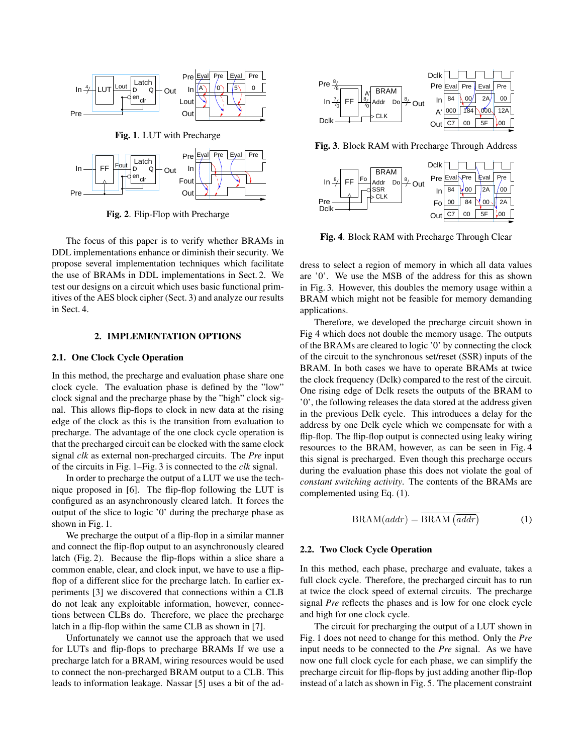

Fig. 2. Flip-Flop with Precharge

The focus of this paper is to verify whether BRAMs in DDL implementations enhance or diminish their security. We propose several implementation techniques which facilitate the use of BRAMs in DDL implementations in Sect. 2. We test our designs on a circuit which uses basic functional primitives of the AES block cipher (Sect. 3) and analyze our results in Sect. 4.

### 2. IMPLEMENTATION OPTIONS

#### 2.1. One Clock Cycle Operation

In this method, the precharge and evaluation phase share one clock cycle. The evaluation phase is defined by the "low" clock signal and the precharge phase by the "high" clock signal. This allows flip-flops to clock in new data at the rising edge of the clock as this is the transition from evaluation to precharge. The advantage of the one clock cycle operation is that the precharged circuit can be clocked with the same clock signal *clk* as external non-precharged circuits. The *Pre* input of the circuits in Fig. 1–Fig. 3 is connected to the *clk* signal.

In order to precharge the output of a LUT we use the technique proposed in [6]. The flip-flop following the LUT is configured as an asynchronously cleared latch. It forces the output of the slice to logic '0' during the precharge phase as shown in Fig. 1.

We precharge the output of a flip-flop in a similar manner and connect the flip-flop output to an asynchronously cleared latch (Fig. 2). Because the flip-flops within a slice share a common enable, clear, and clock input, we have to use a flipflop of a different slice for the precharge latch. In earlier experiments [3] we discovered that connections within a CLB do not leak any exploitable information, however, connections between CLBs do. Therefore, we place the precharge latch in a flip-flop within the same CLB as shown in [7].

Unfortunately we cannot use the approach that we used for LUTs and flip-flops to precharge BRAMs If we use a precharge latch for a BRAM, wiring resources would be used to connect the non-precharged BRAM output to a CLB. This leads to information leakage. Nassar [5] uses a bit of the ad-



Fig. 3. Block RAM with Precharge Through Address



Fig. 4. Block RAM with Precharge Through Clear

dress to select a region of memory in which all data values are '0'. We use the MSB of the address for this as shown in Fig. 3. However, this doubles the memory usage within a BRAM which might not be feasible for memory demanding applications.

Therefore, we developed the precharge circuit shown in Fig 4 which does not double the memory usage. The outputs of the BRAMs are cleared to logic '0' by connecting the clock of the circuit to the synchronous set/reset (SSR) inputs of the BRAM. In both cases we have to operate BRAMs at twice the clock frequency (Dclk) compared to the rest of the circuit. One rising edge of Dclk resets the outputs of the BRAM to '0', the following releases the data stored at the address given in the previous Dclk cycle. This introduces a delay for the address by one Dclk cycle which we compensate for with a flip-flop. The flip-flop output is connected using leaky wiring resources to the BRAM, however, as can be seen in Fig. 4 this signal is precharged. Even though this precharge occurs during the evaluation phase this does not violate the goal of *constant switching activity*. The contents of the BRAMs are complemented using Eq. (1).

$$
BRAM(addr) = \overline{BRAM(\overline{addr})}
$$
 (1)

### 2.2. Two Clock Cycle Operation

In this method, each phase, precharge and evaluate, takes a full clock cycle. Therefore, the precharged circuit has to run at twice the clock speed of external circuits. The precharge signal *Pre* reflects the phases and is low for one clock cycle and high for one clock cycle.

The circuit for precharging the output of a LUT shown in Fig. 1 does not need to change for this method. Only the *Pre* input needs to be connected to the *Pre* signal. As we have now one full clock cycle for each phase, we can simplify the precharge circuit for flip-flops by just adding another flip-flop instead of a latch as shown in Fig. 5. The placement constraint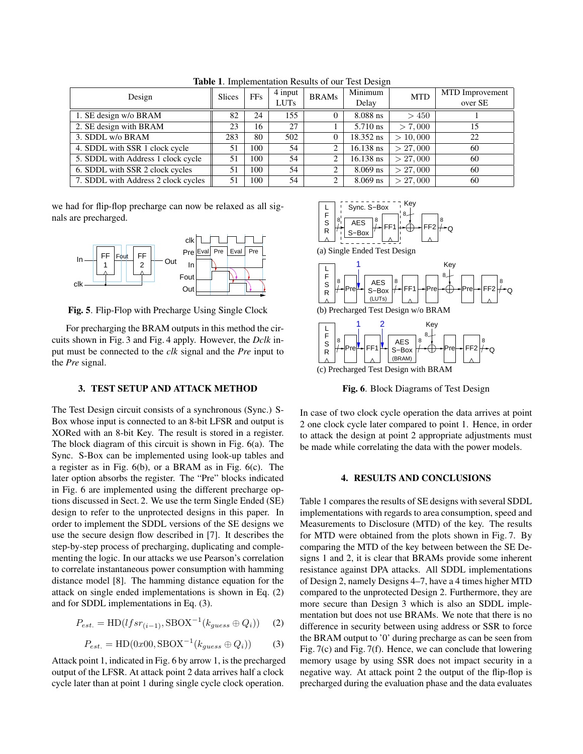| Design                              | <b>Slices</b> | FFs | 4 input<br><b>LUTs</b> | <b>BRAMs</b> | Minimum<br>Delay | <b>MTD</b> | MTD Improvement<br>over SE |
|-------------------------------------|---------------|-----|------------------------|--------------|------------------|------------|----------------------------|
| 1. SE design w/o BRAM               | 82            | 24  | 155                    |              | $8.088$ ns       | >450       |                            |
| 2. SE design with BRAM              | 23            | 16  | 27                     |              | 5.710 ns         | > 7.000    | 15                         |
| 3. SDDL w/o BRAM                    | 283           | 80  | 502                    |              | 18.352 ns        | > 10,000   | 22                         |
| 4. SDDL with SSR 1 clock cycle      | 51            | 100 | 54                     |              | $16.138$ ns      | > 27,000   | 60                         |
| 5. SDDL with Address 1 clock cycle  | 51            | 100 | 54                     | ◠            | $16.138$ ns      | > 27,000   | 60                         |
| 6. SDDL with SSR 2 clock cycles     | 51            | 100 | 54                     |              | $8.069$ ns       | > 27,000   | 60                         |
| 7. SDDL with Address 2 clock cycles | 51            | 100 | 54                     | 2            | $8.069$ ns       | > 27,000   | 60                         |

Table 1. Implementation Results of our Test Design

we had for flip-flop precharge can now be relaxed as all signals are precharged.



Fig. 5. Flip-Flop with Precharge Using Single Clock

For precharging the BRAM outputs in this method the circuits shown in Fig. 3 and Fig. 4 apply. However, the *Dclk* input must be connected to the *clk* signal and the *Pre* input to the *Pre* signal.

### 3. TEST SETUP AND ATTACK METHOD

The Test Design circuit consists of a synchronous (Sync.) S-Box whose input is connected to an 8-bit LFSR and output is XORed with an 8-bit Key. The result is stored in a register. The block diagram of this circuit is shown in Fig. 6(a). The Sync. S-Box can be implemented using look-up tables and a register as in Fig. 6(b), or a BRAM as in Fig. 6(c). The later option absorbs the register. The "Pre" blocks indicated in Fig. 6 are implemented using the different precharge options discussed in Sect. 2. We use the term Single Ended (SE) design to refer to the unprotected designs in this paper. In order to implement the SDDL versions of the SE designs we use the secure design flow described in [7]. It describes the step-by-step process of precharging, duplicating and complementing the logic. In our attacks we use Pearson's correlation to correlate instantaneous power consumption with hamming distance model [8]. The hamming distance equation for the attack on single ended implementations is shown in Eq. (2) and for SDDL implementations in Eq. (3).

$$
P_{est.} = HD(lfsr_{(i-1)}, \text{SDOX}^{-1}(k_{guess} \oplus Q_i)) \tag{2}
$$

$$
P_{est.} = \text{HD}(0x00, \text{SBOX}^{-1}(k_{guess} \oplus Q_i))
$$
 (3)

Attack point 1, indicated in Fig. 6 by arrow 1, is the precharged output of the LFSR. At attack point 2 data arrives half a clock cycle later than at point 1 during single cycle clock operation.



Fig. 6. Block Diagrams of Test Design

In case of two clock cycle operation the data arrives at point 2 one clock cycle later compared to point 1. Hence, in order to attack the design at point 2 appropriate adjustments must be made while correlating the data with the power models.

### 4. RESULTS AND CONCLUSIONS

Table 1 compares the results of SE designs with several SDDL implementations with regards to area consumption, speed and Measurements to Disclosure (MTD) of the key. The results for MTD were obtained from the plots shown in Fig. 7. By comparing the MTD of the key between between the SE Designs 1 and 2, it is clear that BRAMs provide some inherent resistance against DPA attacks. All SDDL implementations of Design 2, namely Designs 4–7, have a 4 times higher MTD compared to the unprotected Design 2. Furthermore, they are more secure than Design 3 which is also an SDDL implementation but does not use BRAMs. We note that there is no difference in security between using address or SSR to force the BRAM output to '0' during precharge as can be seen from Fig. 7(c) and Fig. 7(f). Hence, we can conclude that lowering memory usage by using SSR does not impact security in a negative way. At attack point 2 the output of the flip-flop is precharged during the evaluation phase and the data evaluates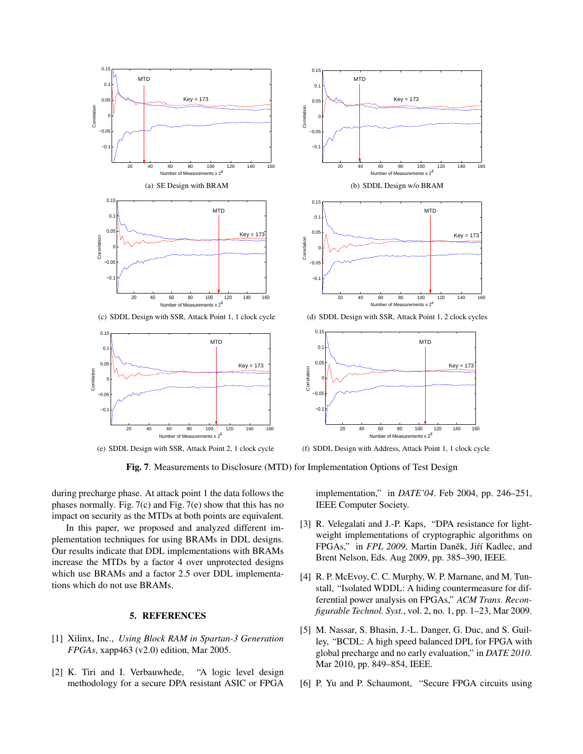

Fig. 7. Measurements to Disclosure (MTD) for Implementation Options of Test Design

during precharge phase. At attack point 1 the data follows the phases normally. Fig. 7(c) and Fig. 7(e) show that this has no impact on security as the MTDs at both points are equivalent.

In this paper, we proposed and analyzed different implementation techniques for using BRAMs in DDL designs. Our results indicate that DDL implementations with BRAMs increase the MTDs by a factor 4 over unprotected designs which use BRAMs and a factor 2.5 over DDL implementations which do not use BRAMs.

# 5. REFERENCES

- [1] Xilinx, Inc., *Using Block RAM in Spartan-3 Generation FPGAs*, xapp463 (v2.0) edition, Mar 2005.
- [2] K. Tiri and I. Verbauwhede, "A logic level design methodology for a secure DPA resistant ASIC or FPGA

implementation," in *DATE'04*. Feb 2004, pp. 246–251, IEEE Computer Society.

- [3] R. Velegalati and J.-P. Kaps, "DPA resistance for lightweight implementations of cryptographic algorithms on FPGAs," in FPL 2009, Martin Daněk, Jiří Kadlec, and Brent Nelson, Eds. Aug 2009, pp. 385–390, IEEE.
- [4] R. P. McEvoy, C. C. Murphy, W. P. Marnane, and M. Tunstall, "Isolated WDDL: A hiding countermeasure for differential power analysis on FPGAs," *ACM Trans. Reconfigurable Technol. Syst.*, vol. 2, no. 1, pp. 1–23, Mar 2009.
- [5] M. Nassar, S. Bhasin, J.-L. Danger, G. Duc, and S. Guilley, "BCDL: A high speed balanced DPL for FPGA with global precharge and no early evaluation," in *DATE 2010*. Mar 2010, pp. 849–854, IEEE.
- [6] P. Yu and P. Schaumont, "Secure FPGA circuits using